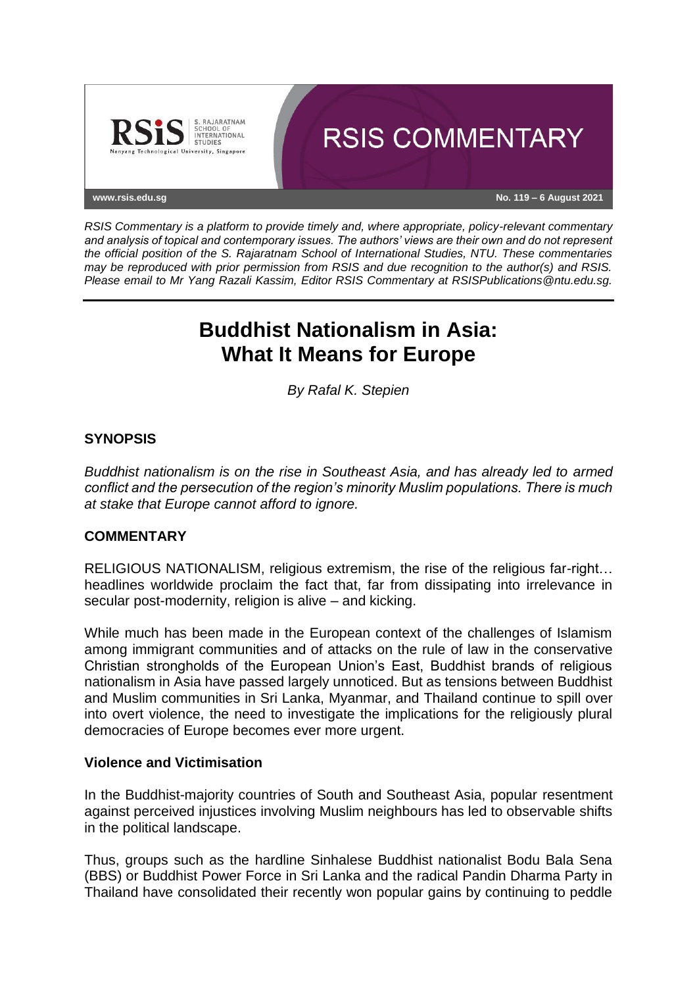

*RSIS Commentary is a platform to provide timely and, where appropriate, policy-relevant commentary and analysis of topical and contemporary issues. The authors' views are their own and do not represent the official position of the S. Rajaratnam School of International Studies, NTU. These commentaries may be reproduced with prior permission from RSIS and due recognition to the author(s) and RSIS. Please email to Mr Yang Razali Kassim, Editor RSIS Commentary at RSISPublications@ntu.edu.sg.*

# **Buddhist Nationalism in Asia: What It Means for Europe**

*By Rafal K. Stepien*

# **SYNOPSIS**

*Buddhist nationalism is on the rise in Southeast Asia, and has already led to armed conflict and the persecution of the region's minority Muslim populations. There is much at stake that Europe cannot afford to ignore.*

# **COMMENTARY**

RELIGIOUS NATIONALISM, religious extremism, the rise of the religious far-right… headlines worldwide proclaim the fact that, far from dissipating into irrelevance in secular post-modernity, religion is alive – and kicking.

While much has been made in the European context of the challenges of Islamism among immigrant communities and of attacks on the rule of law in the conservative Christian strongholds of the European Union's East, Buddhist brands of religious nationalism in Asia have passed largely unnoticed. But as tensions between Buddhist and Muslim communities in Sri Lanka, Myanmar, and Thailand continue to spill over into overt violence, the need to investigate the implications for the religiously plural democracies of Europe becomes ever more urgent.

# **Violence and Victimisation**

In the Buddhist-majority countries of South and Southeast Asia, popular resentment against perceived injustices involving Muslim neighbours has led to observable shifts in the political landscape.

Thus, groups such as the hardline Sinhalese Buddhist nationalist Bodu Bala Sena (BBS) or Buddhist Power Force in Sri Lanka and the radical Pandin Dharma Party in Thailand have consolidated their recently won popular gains by continuing to peddle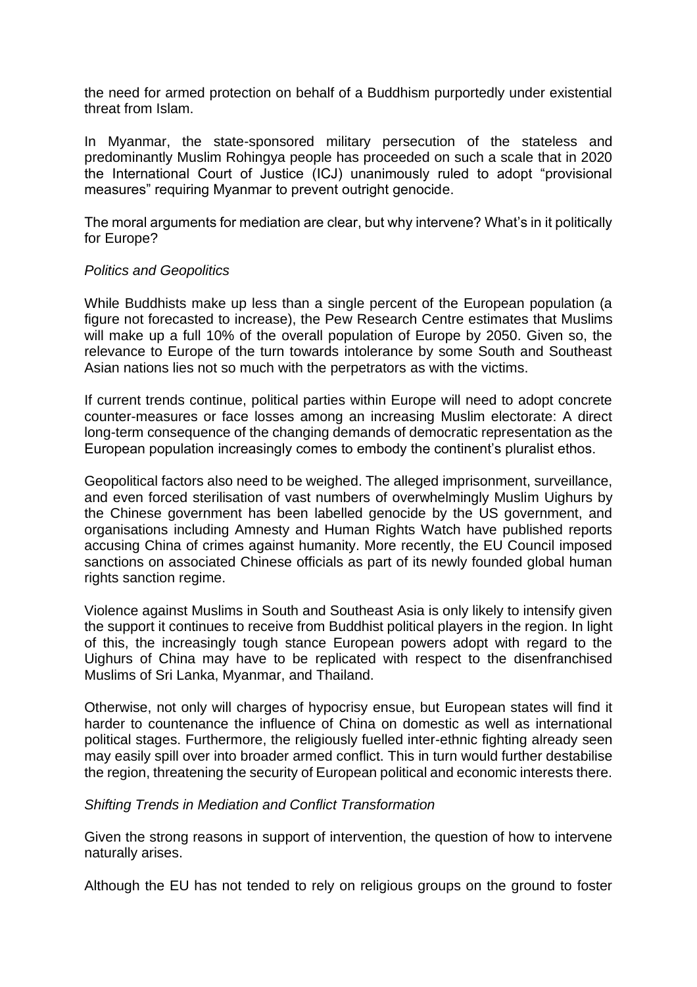the need for armed protection on behalf of a Buddhism purportedly under existential threat from Islam.

In Myanmar, the state-sponsored military persecution of the stateless and predominantly Muslim Rohingya people has proceeded on such a scale that in 2020 the International Court of Justice (ICJ) unanimously ruled to adopt "provisional measures" requiring Myanmar to prevent outright genocide.

The moral arguments for mediation are clear, but why intervene? What's in it politically for Europe?

#### *Politics and Geopolitics*

While Buddhists make up less than a single percent of the European population (a figure not forecasted to increase), the Pew Research Centre estimates that Muslims will make up a full 10% of the overall population of Europe by 2050. Given so, the relevance to Europe of the turn towards intolerance by some South and Southeast Asian nations lies not so much with the perpetrators as with the victims.

If current trends continue, political parties within Europe will need to adopt concrete counter-measures or face losses among an increasing Muslim electorate: A direct long-term consequence of the changing demands of democratic representation as the European population increasingly comes to embody the continent's pluralist ethos.

Geopolitical factors also need to be weighed. The alleged imprisonment, surveillance, and even forced sterilisation of vast numbers of overwhelmingly Muslim Uighurs by the Chinese government has been labelled genocide by the US government, and organisations including Amnesty and Human Rights Watch have published reports accusing China of crimes against humanity. More recently, the EU Council imposed sanctions on associated Chinese officials as part of its newly founded global human rights sanction regime.

Violence against Muslims in South and Southeast Asia is only likely to intensify given the support it continues to receive from Buddhist political players in the region. In light of this, the increasingly tough stance European powers adopt with regard to the Uighurs of China may have to be replicated with respect to the disenfranchised Muslims of Sri Lanka, Myanmar, and Thailand.

Otherwise, not only will charges of hypocrisy ensue, but European states will find it harder to countenance the influence of China on domestic as well as international political stages. Furthermore, the religiously fuelled inter-ethnic fighting already seen may easily spill over into broader armed conflict. This in turn would further destabilise the region, threatening the security of European political and economic interests there.

#### *Shifting Trends in Mediation and Conflict Transformation*

Given the strong reasons in support of intervention, the question of how to intervene naturally arises.

Although the EU has not tended to rely on religious groups on the ground to foster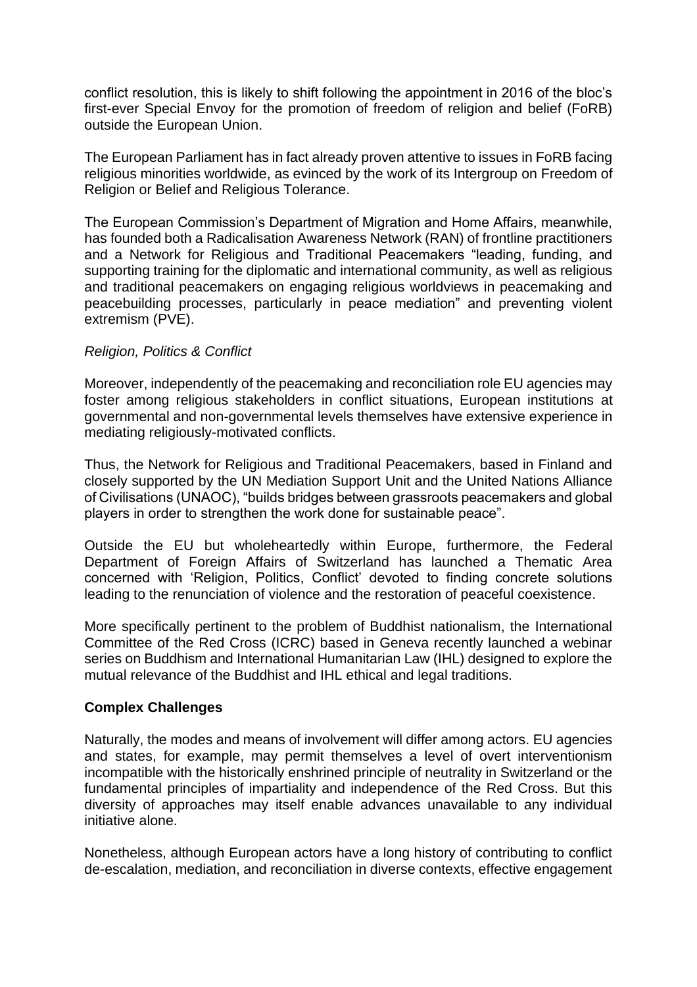conflict resolution, this is likely to shift following the appointment in 2016 of the bloc's first-ever Special Envoy for the promotion of freedom of religion and belief (FoRB) outside the European Union.

The European Parliament has in fact already proven attentive to issues in FoRB facing religious minorities worldwide, as evinced by the work of its Intergroup on Freedom of Religion or Belief and Religious Tolerance.

The European Commission's Department of Migration and Home Affairs, meanwhile, has founded both a Radicalisation Awareness Network (RAN) of frontline practitioners and a Network for Religious and Traditional Peacemakers "leading, funding, and supporting training for the diplomatic and international community, as well as religious and traditional peacemakers on engaging religious worldviews in peacemaking and peacebuilding processes, particularly in peace mediation" and preventing violent extremism (PVE).

# *Religion, Politics & Conflict*

Moreover, independently of the peacemaking and reconciliation role EU agencies may foster among religious stakeholders in conflict situations, European institutions at governmental and non-governmental levels themselves have extensive experience in mediating religiously-motivated conflicts.

Thus, the Network for Religious and Traditional Peacemakers, based in Finland and closely supported by the UN Mediation Support Unit and the United Nations Alliance of Civilisations (UNAOC), "builds bridges between grassroots peacemakers and global players in order to strengthen the work done for sustainable peace".

Outside the EU but wholeheartedly within Europe, furthermore, the Federal Department of Foreign Affairs of Switzerland has launched a Thematic Area concerned with 'Religion, Politics, Conflict' devoted to finding concrete solutions leading to the renunciation of violence and the restoration of peaceful coexistence.

More specifically pertinent to the problem of Buddhist nationalism, the International Committee of the Red Cross (ICRC) based in Geneva recently launched a webinar series on Buddhism and International Humanitarian Law (IHL) designed to explore the mutual relevance of the Buddhist and IHL ethical and legal traditions.

# **Complex Challenges**

Naturally, the modes and means of involvement will differ among actors. EU agencies and states, for example, may permit themselves a level of overt interventionism incompatible with the historically enshrined principle of neutrality in Switzerland or the fundamental principles of impartiality and independence of the Red Cross. But this diversity of approaches may itself enable advances unavailable to any individual initiative alone.

Nonetheless, although European actors have a long history of contributing to conflict de-escalation, mediation, and reconciliation in diverse contexts, effective engagement